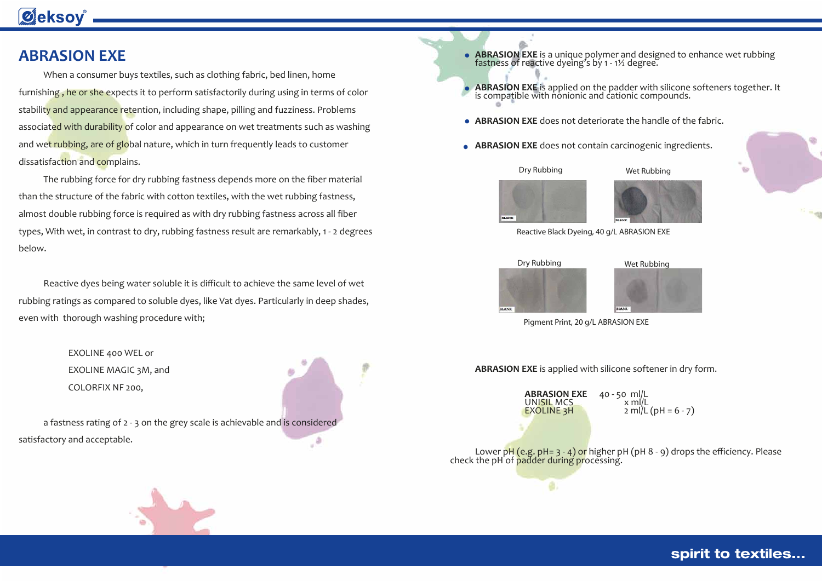- **ABRASION EXE** is a unique polymer and designed to enhance wet rubbing fastness of reactive dyeing's by 1 1½ degree. **ABRASION EXE** does not deteriorate the handle of the fabric.
- **ABRASION EXE** does not contain carcinogenic ingredients.

**ABRASION EXE** is applied on the padder with silicone softeners together. It is compatible with nonionic and cationic compounds.



Dry Rubbing Wet Rubbing





```
2 \text{ mil/L} \left( \text{pH} = 6 - 7 \right)
```


#### spirit to textiles...

When a consumer buys textiles, such as clothing fabric, bed linen, home furnishing, he or she expects it to perform satisfactorily during using in terms of color stability and appearance retention, including shape, pilling and fuzziness. Problems associated with durability of color and appearance on wet treatments such as washing and wet rubbing, are of global nature, which in turn frequently leads to customer dissatisfaction and complains.

**ABRASION EXE** is applied with silicone softener in dry form.

**ABRASION EXE** 40 - 50 ml/L<br>UNI<mark>SIL</mark> MCS x ml/L<br>EXOLINE 3H 2 ml/L

ø.

Lower  $pH$  (e.g.  $pH= 3 - 4$ ) or higher  $pH$  ( $pH$  8 -  $g$ ) drops the efficiency. Please check the pH of **padder during processing.** 



## **Øeksoy**

### **ABRASION EXE**

 The rubbing force for dry rubbing fastness depends more on the fiber material than the structure of the fabric with cotton textiles, with the wet rubbing fastness, almost double rubbing force is required as with dry rubbing fastness across all fiber types, With wet, in contrast to dry, rubbing fastness result are remarkably, 1 - 2 degrees below.

 Reactive dyes being water soluble it is difficult to achieve the same level of wet rubbing ratings as compared to soluble dyes, like Vat dyes. Particularly in deep shades, even with thorough washing procedure with;

> EXOLINE 400 WEL or EXOLINE MAGIC 3M, and COLORFIX NF 200,

 a fastness rating of 2 - 3 on the grey scale is achievable and is considered  $\epsilon_{\rm s}$ satisfactory and acceptable.







Pigment Print, 20 g/L ABRASION EXE